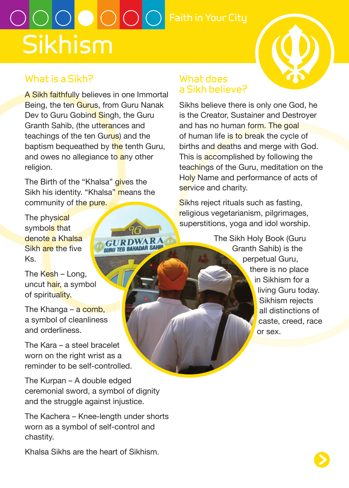# **Sikhism**  $\bigcirc$   $\bigcirc$   $\bigcirc$   $\bigcirc$   $\bigcirc$   $\bigcirc$   $\bigcirc$  Faith in Your City

**GURL THE BAHADAR SAHI** 

# **What is a Sikh?**

A Sikh faithfully believes in one Immortal Being, the ten Gurus, from Guru Nanak Dev to Guru Gobind Singh, the Guru Granth Sahib, (the utterances and teachings of the ten Gurus) and the baptism bequeathed by the tenth Guru, and owes no allegiance to any other religion.

The Birth of the "Khalsa" gives the Sikh his identity. "Khalsa" means the community of the pure.

The physical symbols that denote a Khalsa Sikh are the five Ks.

The Kesh - Long. uncut hair, a symbol of spirituality.

The Khanga – a comb, a symbol of cleanliness and orderliness.

The Kara – a steel bracelet worn on the right wrist as a reminder to be self-controlled.

The Kurpan – A double edged ceremonial sword, a symbol of dignity and the struggle against injustice.

The Kachera – Knee-length under shorts worn as a symbol of self-control and chastity.

Khalsa Sikhs are the heart of Sikhism.

#### **What does a Sikh believe?**

Sikhs believe there is only one God, he is the Creator, Sustainer and Destroyer and has no human form. The goal of human life is to break the cycle of births and deaths and merge with God. This is accomplished by following the teachings of the Guru, meditation on the Holy Name and performance of acts of service and charity.

Sikhs reject rituals such as fasting, religious vegetarianism, pilgrimages, superstitions, yoga and idol worship.

> The Sikh Holy Book (Guru Granth Sahib) is the perpetual Guru, there is no place in Sikhism for a living Guru today. Sikhism rejects all distinctions of caste, creed, race or sex.